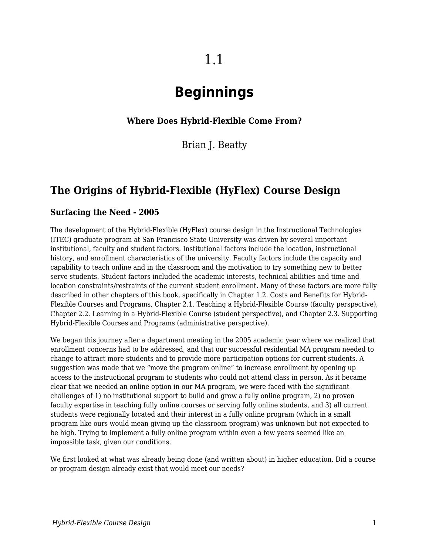# **Beginnings**

#### **Where Does Hybrid-Flexible Come From?**

Brian J. Beatty

# **The Origins of Hybrid-Flexible (HyFlex) Course Design**

#### **Surfacing the Need - 2005**

The development of the Hybrid-Flexible (HyFlex) course design in the Instructional Technologies (ITEC) graduate program at San Francisco State University was driven by several important institutional, faculty and student factors. Institutional factors include the location, instructional history, and enrollment characteristics of the university. Faculty factors include the capacity and capability to teach online and in the classroom and the motivation to try something new to better serve students. Student factors included the academic interests, technical abilities and time and location constraints/restraints of the current student enrollment. Many of these factors are more fully described in other chapters of this book, specifically in Chapter 1.2. Costs and Benefits for Hybrid-Flexible Courses and Programs, Chapter 2.1. Teaching a Hybrid-Flexible Course (faculty perspective), Chapter 2.2. Learning in a Hybrid-Flexible Course (student perspective), and Chapter 2.3. Supporting Hybrid-Flexible Courses and Programs (administrative perspective).

We began this journey after a department meeting in the 2005 academic year where we realized that enrollment concerns had to be addressed, and that our successful residential MA program needed to change to attract more students and to provide more participation options for current students. A suggestion was made that we "move the program online" to increase enrollment by opening up access to the instructional program to students who could not attend class in person. As it became clear that we needed an online option in our MA program, we were faced with the significant challenges of 1) no institutional support to build and grow a fully online program, 2) no proven faculty expertise in teaching fully online courses or serving fully online students, and 3) all current students were regionally located and their interest in a fully online program (which in a small program like ours would mean giving up the classroom program) was unknown but not expected to be high. Trying to implement a fully online program within even a few years seemed like an impossible task, given our conditions.

We first looked at what was already being done (and written about) in higher education. Did a course or program design already exist that would meet our needs?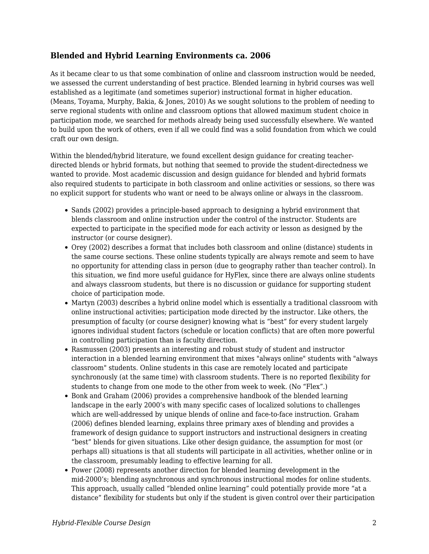#### **Blended and Hybrid Learning Environments ca. 2006**

As it became clear to us that some combination of online and classroom instruction would be needed, we assessed the current understanding of best practice. Blended learning in hybrid courses was well established as a legitimate (and sometimes superior) instructional format in higher education. (Means, Toyama, Murphy, Bakia, & Jones, 2010) As we sought solutions to the problem of needing to serve regional students with online and classroom options that allowed maximum student choice in participation mode, we searched for methods already being used successfully elsewhere. We wanted to build upon the work of others, even if all we could find was a solid foundation from which we could craft our own design.

Within the blended/hybrid literature, we found excellent design guidance for creating teacherdirected blends or hybrid formats, but nothing that seemed to provide the student-directedness we wanted to provide. Most academic discussion and design guidance for blended and hybrid formats also required students to participate in both classroom and online activities or sessions, so there was no explicit support for students who want or need to be always online or always in the classroom.

- Sands (2002) provides a principle-based approach to designing a hybrid environment that blends classroom and online instruction under the control of the instructor. Students are expected to participate in the specified mode for each activity or lesson as designed by the instructor (or course designer).
- Orey (2002) describes a format that includes both classroom and online (distance) students in the same course sections. These online students typically are always remote and seem to have no opportunity for attending class in person (due to geography rather than teacher control). In this situation, we find more useful guidance for HyFlex, since there are always online students and always classroom students, but there is no discussion or guidance for supporting student choice of participation mode.
- Martyn (2003) describes a hybrid online model which is essentially a traditional classroom with online instructional activities; participation mode directed by the instructor. Like others, the presumption of faculty (or course designer) knowing what is "best" for every student largely ignores individual student factors (schedule or location conflicts) that are often more powerful in controlling participation than is faculty direction.
- Rasmussen (2003) presents an interesting and robust study of student and instructor interaction in a blended learning environment that mixes "always online" students with "always classroom" students. Online students in this case are remotely located and participate synchronously (at the same time) with classroom students. There is no reported flexibility for students to change from one mode to the other from week to week. (No "Flex".)
- Bonk and Graham (2006) provides a comprehensive handbook of the blended learning landscape in the early 2000's with many specific cases of localized solutions to challenges which are well-addressed by unique blends of online and face-to-face instruction. Graham (2006) defines blended learning, explains three primary axes of blending and provides a framework of design guidance to support instructors and instructional designers in creating "best" blends for given situations. Like other design guidance, the assumption for most (or perhaps all) situations is that all students will participate in all activities, whether online or in the classroom, presumably leading to effective learning for all.
- Power (2008) represents another direction for blended learning development in the mid-2000's; blending asynchronous and synchronous instructional modes for online students. This approach, usually called "blended online learning" could potentially provide more "at a distance" flexibility for students but only if the student is given control over their participation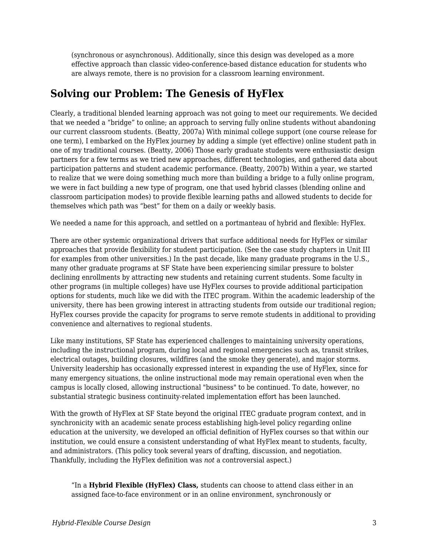(synchronous or asynchronous). Additionally, since this design was developed as a more effective approach than classic video-conference-based distance education for students who are always remote, there is no provision for a classroom learning environment.

# **Solving our Problem: The Genesis of HyFlex**

Clearly, a traditional blended learning approach was not going to meet our requirements. We decided that we needed a "bridge" to online; an approach to serving fully online students without abandoning our current classroom students. (Beatty, 2007a) With minimal college support (one course release for one term), I embarked on the HyFlex journey by adding a simple (yet effective) online student path in one of my traditional courses. (Beatty, 2006) Those early graduate students were enthusiastic design partners for a few terms as we tried new approaches, different technologies, and gathered data about participation patterns and student academic performance. (Beatty, 2007b) Within a year, we started to realize that we were doing something much more than building a bridge to a fully online program, we were in fact building a new type of program, one that used hybrid classes (blending online and classroom participation modes) to provide flexible learning paths and allowed students to decide for themselves which path was "best" for them on a daily or weekly basis.

We needed a name for this approach, and settled on a portmanteau of hybrid and flexible: HyFlex.

There are other systemic organizational drivers that surface additional needs for HyFlex or similar approaches that provide flexibility for student participation. (See the case study chapters in Unit III for examples from other universities.) In the past decade, like many graduate programs in the U.S., many other graduate programs at SF State have been experiencing similar pressure to bolster declining enrollments by attracting new students and retaining current students. Some faculty in other programs (in multiple colleges) have use HyFlex courses to provide additional participation options for students, much like we did with the ITEC program. Within the academic leadership of the university, there has been growing interest in attracting students from outside our traditional region; HyFlex courses provide the capacity for programs to serve remote students in additional to providing convenience and alternatives to regional students.

Like many institutions, SF State has experienced challenges to maintaining university operations, including the instructional program, during local and regional emergencies such as, transit strikes, electrical outages, building closures, wildfires (and the smoke they generate), and major storms. University leadership has occasionally expressed interest in expanding the use of HyFlex, since for many emergency situations, the online instructional mode may remain operational even when the campus is locally closed, allowing instructional "business" to be continued. To date, however, no substantial strategic business continuity-related implementation effort has been launched.

With the growth of HyFlex at SF State beyond the original ITEC graduate program context, and in synchronicity with an academic senate process establishing high-level policy regarding online education at the university, we developed an official definition of HyFlex courses so that within our institution, we could ensure a consistent understanding of what HyFlex meant to students, faculty, and administrators. (This policy took several years of drafting, discussion, and negotiation. Thankfully, including the HyFlex definition was *not* a controversial aspect.)

"In a **Hybrid Flexible (HyFlex) Class,** students can choose to attend class either in an assigned face-to-face environment or in an online environment, synchronously or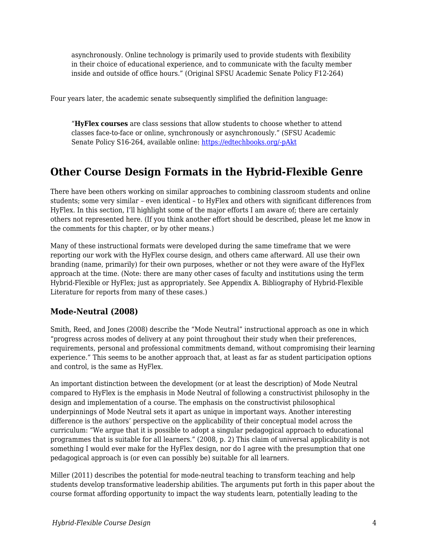asynchronously. Online technology is primarily used to provide students with flexibility in their choice of educational experience, and to communicate with the faculty member inside and outside of office hours." (Original SFSU Academic Senate Policy F12-264)

Four years later, the academic senate subsequently simplified the definition language:

"**HyFlex courses** are class sessions that allow students to choose whether to attend classes face-to-face or online, synchronously or asynchronously." (SFSU Academic Senate Policy S16-264, available online: [https://edtechbooks.org/-pAkt](https://senate.sfsu.edu/policy/online-education))

# **Other Course Design Formats in the Hybrid-Flexible Genre**

There have been others working on similar approaches to combining classroom students and online students; some very similar – even identical – to HyFlex and others with significant differences from HyFlex. In this section, I'll highlight some of the major efforts I am aware of; there are certainly others not represented here. (If you think another effort should be described, please let me know in the comments for this chapter, or by other means.)

Many of these instructional formats were developed during the same timeframe that we were reporting our work with the HyFlex course design, and others came afterward. All use their own branding (name, primarily) for their own purposes, whether or not they were aware of the HyFlex approach at the time. (Note: there are many other cases of faculty and institutions using the term Hybrid-Flexible or HyFlex; just as appropriately. See Appendix A. Bibliography of Hybrid-Flexible Literature for reports from many of these cases.)

#### **Mode-Neutral (2008)**

Smith, Reed, and Jones (2008) describe the "Mode Neutral" instructional approach as one in which "progress across modes of delivery at any point throughout their study when their preferences, requirements, personal and professional commitments demand, without compromising their learning experience." This seems to be another approach that, at least as far as student participation options and control, is the same as HyFlex.

An important distinction between the development (or at least the description) of Mode Neutral compared to HyFlex is the emphasis in Mode Neutral of following a constructivist philosophy in the design and implementation of a course. The emphasis on the constructivist philosophical underpinnings of Mode Neutral sets it apart as unique in important ways. Another interesting difference is the authors' perspective on the applicability of their conceptual model across the curriculum: "We argue that it is possible to adopt a singular pedagogical approach to educational programmes that is suitable for all learners." (2008, p. 2) This claim of universal applicability is not something I would ever make for the HyFlex design, nor do I agree with the presumption that one pedagogical approach is (or even can possibly be) suitable for all learners.

Miller (2011) describes the potential for mode-neutral teaching to transform teaching and help students develop transformative leadership abilities. The arguments put forth in this paper about the course format affording opportunity to impact the way students learn, potentially leading to the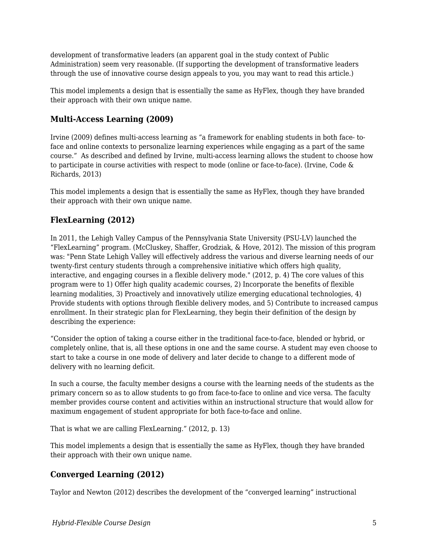development of transformative leaders (an apparent goal in the study context of Public Administration) seem very reasonable. (If supporting the development of transformative leaders through the use of innovative course design appeals to you, you may want to read this article.)

This model implements a design that is essentially the same as HyFlex, though they have branded their approach with their own unique name.

#### **Multi-Access Learning (2009)**

Irvine (2009) defines multi-access learning as "a framework for enabling students in both face- toface and online contexts to personalize learning experiences while engaging as a part of the same course." As described and defined by Irvine, multi-access learning allows the student to choose how to participate in course activities with respect to mode (online or face-to-face). (Irvine, Code & Richards, 2013)

This model implements a design that is essentially the same as HyFlex, though they have branded their approach with their own unique name.

#### **FlexLearning (2012)**

In 2011, the Lehigh Valley Campus of the Pennsylvania State University (PSU-LV) launched the "FlexLearning" program. (McCluskey, Shaffer, Grodziak, & Hove, 2012). The mission of this program was: "Penn State Lehigh Valley will effectively address the various and diverse learning needs of our twenty-first century students through a comprehensive initiative which offers high quality, interactive, and engaging courses in a flexible delivery mode." (2012, p. 4) The core values of this program were to 1) Offer high quality academic courses, 2) Incorporate the benefits of flexible learning modalities, 3) Proactively and innovatively utilize emerging educational technologies, 4) Provide students with options through flexible delivery modes, and 5) Contribute to increased campus enrollment. In their strategic plan for FlexLearning, they begin their definition of the design by describing the experience:

"Consider the option of taking a course either in the traditional face-to-face, blended or hybrid, or completely online, that is, all these options in one and the same course. A student may even choose to start to take a course in one mode of delivery and later decide to change to a different mode of delivery with no learning deficit.

In such a course, the faculty member designs a course with the learning needs of the students as the primary concern so as to allow students to go from face-to-face to online and vice versa. The faculty member provides course content and activities within an instructional structure that would allow for maximum engagement of student appropriate for both face-to-face and online.

That is what we are calling FlexLearning." (2012, p. 13)

This model implements a design that is essentially the same as HyFlex, though they have branded their approach with their own unique name.

#### **Converged Learning (2012)**

Taylor and Newton (2012) describes the development of the "converged learning" instructional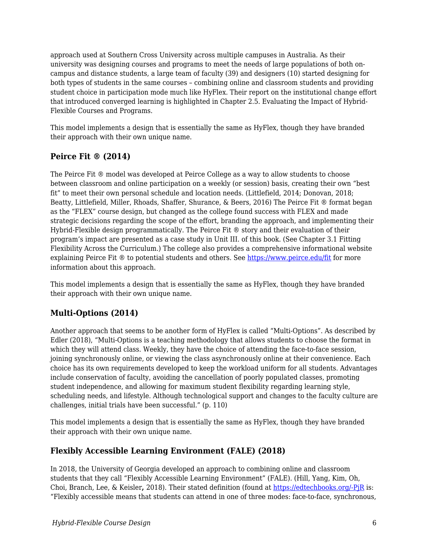approach used at Southern Cross University across multiple campuses in Australia. As their university was designing courses and programs to meet the needs of large populations of both oncampus and distance students, a large team of faculty (39) and designers (10) started designing for both types of students in the same courses – combining online and classroom students and providing student choice in participation mode much like HyFlex. Their report on the institutional change effort that introduced converged learning is highlighted in Chapter 2.5. Evaluating the Impact of Hybrid-Flexible Courses and Programs.

This model implements a design that is essentially the same as HyFlex, though they have branded their approach with their own unique name.

#### **Peirce Fit ® (2014)**

The Peirce Fit ® model was developed at Peirce College as a way to allow students to choose between classroom and online participation on a weekly (or session) basis, creating their own "best fit" to meet their own personal schedule and location needs. (Littlefield, 2014; Donovan, 2018; Beatty, Littlefield, Miller, Rhoads, Shaffer, Shurance, & Beers, 2016) The Peirce Fit ® format began as the "FLEX" course design, but changed as the college found success with FLEX and made strategic decisions regarding the scope of the effort, branding the approach, and implementing their Hybrid-Flexible design programmatically. The Peirce Fit ® story and their evaluation of their program's impact are presented as a case study in Unit III. of this book. (See Chapter 3.1 Fitting Flexibility Across the Curriculum.) The college also provides a comprehensive informational website explaining Peirce Fit ® to potential students and others. See<https://www.peirce.edu/fit>for more information about this approach.

This model implements a design that is essentially the same as HyFlex, though they have branded their approach with their own unique name.

#### **Multi-Options (2014)**

Another approach that seems to be another form of HyFlex is called "Multi-Options". As described by Edler (2018), "Multi-Options is a teaching methodology that allows students to choose the format in which they will attend class. Weekly, they have the choice of attending the face-to-face session, joining synchronously online, or viewing the class asynchronously online at their convenience. Each choice has its own requirements developed to keep the workload uniform for all students. Advantages include conservation of faculty, avoiding the cancellation of poorly populated classes, promoting student independence, and allowing for maximum student flexibility regarding learning style, scheduling needs, and lifestyle. Although technological support and changes to the faculty culture are challenges, initial trials have been successful." (p. 110)

This model implements a design that is essentially the same as HyFlex, though they have branded their approach with their own unique name.

#### **Flexibly Accessible Learning Environment (FALE) (2018)**

In 2018, the University of Georgia developed an approach to combining online and classroom students that they call "Flexibly Accessible Learning Environment" (FALE). (Hill, Yang, Kim, Oh, Choi, Branch, Lee, & Keisler**,** 2018). Their stated definition (found at [https://edtechbooks.org/-PjR](http://ldtglobal.coe.uga.edu/fale/)) is: "Flexibly accessible means that students can attend in one of three modes: face-to-face, synchronous,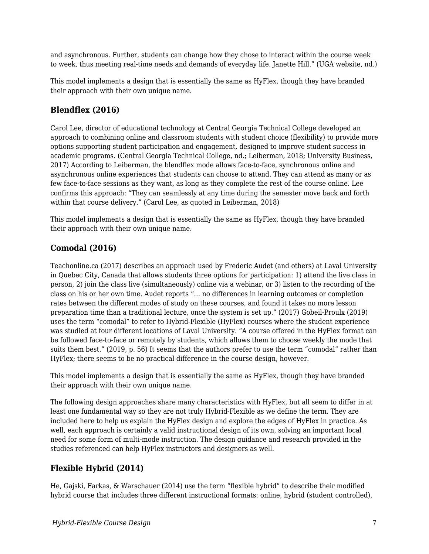and asynchronous. Further, students can change how they chose to interact within the course week to week, thus meeting real-time needs and demands of everyday life. Janette Hill." (UGA website, nd.)

This model implements a design that is essentially the same as HyFlex, though they have branded their approach with their own unique name.

### **Blendflex (2016)**

Carol Lee, director of educational technology at Central Georgia Technical College developed an approach to combining online and classroom students with student choice (flexibility) to provide more options supporting student participation and engagement, designed to improve student success in academic programs. (Central Georgia Technical College, nd.; Leiberman, 2018; University Business, 2017) According to Leiberman, the blendflex mode allows face-to-face, synchronous online and asynchronous online experiences that students can choose to attend. They can attend as many or as few face-to-face sessions as they want, as long as they complete the rest of the course online. Lee confirms this approach: "They can seamlessly at any time during the semester move back and forth within that course delivery." (Carol Lee, as quoted in Leiberman, 2018)

This model implements a design that is essentially the same as HyFlex, though they have branded their approach with their own unique name.

#### **Comodal (2016)**

Teachonline.ca (2017) describes an approach used by Frederic Audet (and others) at Laval University in Quebec City, Canada that allows students three options for participation: 1) attend the live class in person, 2) join the class live (simultaneously) online via a webinar, or 3) listen to the recording of the class on his or her own time. Audet reports "… no differences in learning outcomes or completion rates between the different modes of study on these courses, and found it takes no more lesson preparation time than a traditional lecture, once the system is set up." (2017) Gobeil-Proulx (2019) uses the term "comodal" to refer to Hybrid-Flexible (HyFlex) courses where the student experience was studied at four different locations of Laval University. "A course offered in the HyFlex format can be followed face-to-face or remotely by students, which allows them to choose weekly the mode that suits them best." (2019, p. 56) It seems that the authors prefer to use the term "comodal" rather than HyFlex; there seems to be no practical difference in the course design, however.

This model implements a design that is essentially the same as HyFlex, though they have branded their approach with their own unique name.

The following design approaches share many characteristics with HyFlex, but all seem to differ in at least one fundamental way so they are not truly Hybrid-Flexible as we define the term. They are included here to help us explain the HyFlex design and explore the edges of HyFlex in practice. As well, each approach is certainly a valid instructional design of its own, solving an important local need for some form of multi-mode instruction. The design guidance and research provided in the studies referenced can help HyFlex instructors and designers as well.

#### **Flexible Hybrid (2014)**

He, Gajski, Farkas, & Warschauer (2014) use the term "flexible hybrid" to describe their modified hybrid course that includes three different instructional formats: online, hybrid (student controlled),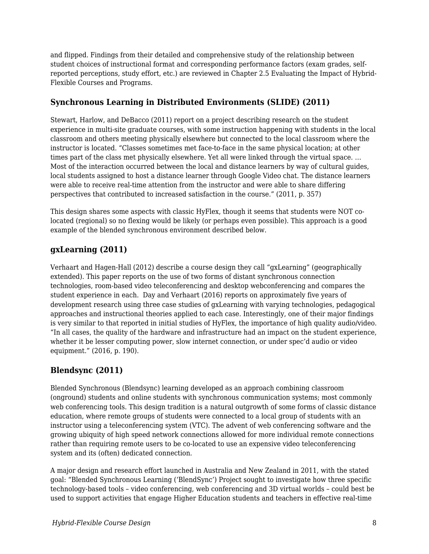and flipped. Findings from their detailed and comprehensive study of the relationship between student choices of instructional format and corresponding performance factors (exam grades, selfreported perceptions, study effort, etc.) are reviewed in Chapter 2.5 Evaluating the Impact of Hybrid-Flexible Courses and Programs.

#### **Synchronous Learning in Distributed Environments (SLIDE) (2011)**

Stewart, Harlow, and DeBacco (2011) report on a project describing research on the student experience in multi-site graduate courses, with some instruction happening with students in the local classroom and others meeting physically elsewhere but connected to the local classroom where the instructor is located. "Classes sometimes met face-to-face in the same physical location; at other times part of the class met physically elsewhere. Yet all were linked through the virtual space. … Most of the interaction occurred between the local and distance learners by way of cultural guides, local students assigned to host a distance learner through Google Video chat. The distance learners were able to receive real-time attention from the instructor and were able to share differing perspectives that contributed to increased satisfaction in the course." (2011, p. 357)

This design shares some aspects with classic HyFlex, though it seems that students were NOT colocated (regional) so no flexing would be likely (or perhaps even possible). This approach is a good example of the blended synchronous environment described below.

### **gxLearning (2011)**

Verhaart and Hagen-Hall (2012) describe a course design they call "gxLearning" (geographically extended). This paper reports on the use of two forms of distant synchronous connection technologies, room-based video teleconferencing and desktop webconferencing and compares the student experience in each. Day and Verhaart (2016) reports on approximately five years of development research using three case studies of gxLearning with varying technologies, pedagogical approaches and instructional theories applied to each case. Interestingly, one of their major findings is very similar to that reported in initial studies of HyFlex, the importance of high quality audio/video. "In all cases, the quality of the hardware and infrastructure had an impact on the student experience, whether it be lesser computing power, slow internet connection, or under spec'd audio or video equipment." (2016, p. 190).

#### **Blendsync (2011)**

Blended Synchronous (Blendsync) learning developed as an approach combining classroom (onground) students and online students with synchronous communication systems; most commonly web conferencing tools. This design tradition is a natural outgrowth of some forms of classic distance education, where remote groups of students were connected to a local group of students with an instructor using a teleconferencing system (VTC). The advent of web conferencing software and the growing ubiquity of high speed network connections allowed for more individual remote connections rather than requiring remote users to be co-located to use an expensive video teleconferencing system and its (often) dedicated connection.

A major design and research effort launched in Australia and New Zealand in 2011, with the stated goal: "Blended Synchronous Learning ('BlendSync') Project sought to investigate how three specific technology-based tools – video conferencing, web conferencing and 3D virtual worlds – could best be used to support activities that engage Higher Education students and teachers in effective real-time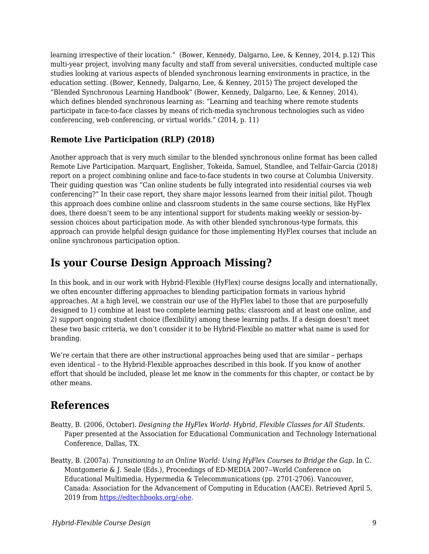learning irrespective of their location." (Bower, Kennedy, Dalgarno, Lee, & Kenney, 2014, p.12) This multi-year project, involving many faculty and staff from several universities, conducted multiple case studies looking at various aspects of blended synchronous learning environments in practice, in the education setting. (Bower, Kennedy, Dalgarno, Lee, & Kenney, 2015) The project developed the "Blended Synchronous Learning Handbook" (Bower, Kennedy, Dalgarno, Lee, & Kenney, 2014), which defines blended synchronous learning as: "Learning and teaching where remote students participate in face-to-face classes by means of rich-media synchronous technologies such as video conferencing, web conferencing, or virtual worlds." (2014, p. 11)

#### **Remote Live Participation (RLP) (2018)**

Another approach that is very much similar to the blended synchronous online format has been called Remote Live Participation. Marquart, Englisher, Tokeida, Samuel, Standlee, and Telfair-Garcia (2018) report on a project combining online and face-to-face students in two course at Columbia University. Their guiding question was "Can online students be fully integrated into residential courses via web conferencing?" In their case report, they share major lessons learned from their initial pilot. Though this approach does combine online and classroom students in the same course sections, like HyFlex does, there doesn't seem to be any intentional support for students making weekly or session-bysession choices about participation mode. As with other blended synchronous-type formats, this approach can provide helpful design guidance for those implementing HyFlex courses that include an online synchronous participation option.

# **Is your Course Design Approach Missing?**

In this book, and in our work with Hybrid-Flexible (HyFlex) course designs locally and internationally, we often encounter differing approaches to blending participation formats in various hybrid approaches. At a high level, we constrain our use of the HyFlex label to those that are purposefully designed to 1) combine at least two complete learning paths; classroom and at least one online, and 2) support ongoing student choice (flexibility) among these learning paths. If a design doesn't meet these two basic criteria, we don't consider it to be Hybrid-Flexible no matter what name is used for branding.

We're certain that there are other instructional approaches being used that are similar – perhaps even identical – to the Hybrid-Flexible approaches described in this book. If you know of another effort that should be included, please let me know in the comments for this chapter, or contact be by other means.

### **References**

- Beatty, B. (2006, October). *Designing the HyFlex World- Hybrid, Flexible Classes for All Students*. Paper presented at the Association for Educational Communication and Technology International Conference, Dallas, TX.
- Beatty, B. (2007a). *Transitioning to an Online World: Using HyFlex Courses to Bridge the Gap.* In C. Montgomerie & J. Seale (Eds.), Proceedings of ED-MEDIA 2007--World Conference on Educational Multimedia, Hypermedia & Telecommunications (pp. 2701-2706). Vancouver, Canada: Association for the Advancement of Computing in Education (AACE). Retrieved April 5, 2019 from [https://edtechbooks.org/-ohe](https://www.learntechlib.org/primary/p/25752/).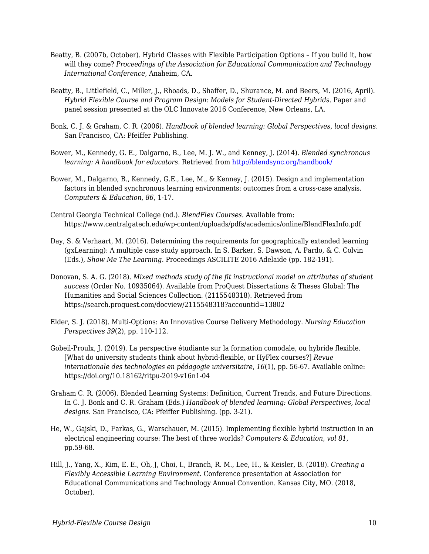- Beatty, B. (2007b, October). Hybrid Classes with Flexible Participation Options If you build it, how will they come? *Proceedings of the Association for Educational Communication and Technology International Conference*, Anaheim, CA.
- Beatty, B., Littlefield, C., Miller, J., Rhoads, D., Shaffer, D., Shurance, M. and Beers, M. (2016, April). *Hybrid Flexible Course and Program Design: Models for Student-Directed Hybrids*. Paper and panel session presented at the OLC Innovate 2016 Conference, New Orleans, LA.
- Bonk, C. J. & Graham, C. R. (2006). *Handbook of blended learning: Global Perspectives, local designs.* San Francisco, CA: Pfeiffer Publishing.
- Bower, M., Kennedy, G. E., Dalgarno, B., Lee, M. J. W., and Kenney, J. (2014). *Blended synchronous learning: A handbook for educators. Retrieved from<http://blendsync.org/handbook/>*
- Bower, M., Dalgarno, B., Kennedy, G.E., Lee, M., & Kenney, J. (2015). Design and implementation factors in blended synchronous learning environments: outcomes from a cross-case analysis. *Computers & Education, 86*, 1-17.
- Central Georgia Technical College (nd.). *BlendFlex Courses.* Available from: https://www.centralgatech.edu/wp-content/uploads/pdfs/academics/online/BlendFlexInfo.pdf
- Day, S. & Verhaart, M. (2016). Determining the requirements for geographically extended learning (gxLearning): A multiple case study approach. In S. Barker, S. Dawson, A. Pardo, & C. Colvin (Eds.), *Show Me The Learning.* Proceedings ASCILITE 2016 Adelaide (pp. 182-191).
- Donovan, S. A. G. (2018). *Mixed methods study of the fit instructional model on attributes of student success* (Order No. 10935064). Available from ProQuest Dissertations & Theses Global: The Humanities and Social Sciences Collection. (2115548318). Retrieved from https://search.proquest.com/docview/2115548318?accountid=13802
- Elder, S. J. (2018). Multi-Options: An Innovative Course Delivery Methodology. *Nursing Education Perspectives 39*(2), pp. 110-112.
- Gobeil-Proulx, J. (2019). La perspective étudiante sur la formation comodale, ou hybride flexible. [What do university students think about hybrid-flexible, or HyFlex courses?] *Revue internationale des technologies en pédagogie universitaire*, *16*(1), pp. 56-67. Available online: https://doi.org/10.18162/ritpu-2019-v16n1-04
- Graham C. R. (2006). Blended Learning Systems: Definition, Current Trends, and Future Directions. In C. J. Bonk and C. R. Graham (Eds.) *Handbook of blended learning: Global Perspectives, local designs.* San Francisco, CA: Pfeiffer Publishing. (pp. 3-21).
- He, W., Gajski, D., Farkas, G., Warschauer, M. (2015). Implementing flexible hybrid instruction in an electrical engineering course: The best of three worlds? *Computers & Education, vol 81*, pp.59-68.
- Hill, J., Yang, X., Kim, E. E., Oh, J, Choi, I., Branch, R. M., Lee, H., & Keisler, B. (2018). *Creating a Flexibly Accessible Learning Environment.* Conference presentation at Association for Educational Communications and Technology Annual Convention. Kansas City, MO. (2018, October).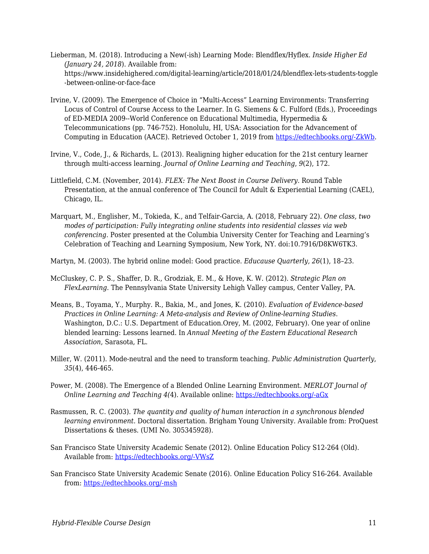- Lieberman, M. (2018). Introducing a New(-ish) Learning Mode: Blendflex/Hyflex. *Inside Higher Ed (January 24, 2018*). Available from: https://www.insidehighered.com/digital-learning/article/2018/01/24/blendflex-lets-students-toggle -between-online-or-face-face
- Irvine, V. (2009). The Emergence of Choice in "Multi-Access" Learning Environments: Transferring Locus of Control of Course Access to the Learner. In G. Siemens & C. Fulford (Eds.), Proceedings of ED-MEDIA 2009--World Conference on Educational Multimedia, Hypermedia & Telecommunications (pp. 746-752). Honolulu, HI, USA: Association for the Advancement of Computing in Education (AACE). Retrieved October 1, 2019 from [https://edtechbooks.org/-ZkWb.](https://www.learntechlib.org/primary/p/31583/)
- Irvine, V., Code, J., & Richards, L. (2013). Realigning higher education for the 21st century learner through multi-access learning. *Journal of Online Learning and Teaching*, *9*(2), 172.
- Littlefield, C.M. (November, 2014). *FLEX: The Next Boost in Course Delivery*. Round Table Presentation, at the annual conference of The Council for Adult & Experiential Learning (CAEL), Chicago, IL.
- Marquart, M., Englisher, M., Tokieda, K., and Telfair-Garcia, A. (2018, February 22). *One class, two modes of participation: Fully integrating online students into residential classes via web conferencing.* Poster presented at the Columbia University Center for Teaching and Learning's Celebration of Teaching and Learning Symposium, New York, NY. doi:10.7916/D8KW6TK3.

Martyn, M. (2003). The hybrid online model: Good practice. *Educause Quarterly, 26*(1), 18–23.

- McCluskey, C. P. S., Shaffer, D. R., Grodziak, E. M., & Hove, K. W. (2012). *Strategic Plan on FlexLearning*. The Pennsylvania State University Lehigh Valley campus, Center Valley, PA.
- Means, B., Toyama, Y., Murphy. R., Bakia, M., and Jones, K. (2010). *Evaluation of Evidence-based Practices in Online Learning: A Meta-analysis and Review of Online-learning Studies*. Washington, D.C.: U.S. Department of Education.Orey, M. (2002, February). One year of online blended learning: Lessons learned. In *Annual Meeting of the Eastern Educational Research Association*, Sarasota, FL.
- Miller, W. (2011). Mode-neutral and the need to transform teaching. *Public Administration Quarterly*, *35*(4), 446-465.
- Power, M. (2008). The Emergence of a Blended Online Learning Environment. *MERLOT Journal of Online Learning and Teaching 4(*4). Available online: [https://edtechbooks.org/-aGx](http://jolt.merlot.org/vol4no4/power_1208.htm)
- Rasmussen, R. C. (2003). *The quantity and quality of human interaction in a synchronous blended learning environment.* Doctoral dissertation. Brigham Young University. Available from: ProQuest Dissertations & theses. (UMI No. 305345928).
- San Francisco State University Academic Senate (2012). Online Education Policy S12-264 (Old). Available from: [https://edtechbooks.org/-VWsZ](https://senate.sfsu.edu/policy/online-education-policy)
- San Francisco State University Academic Senate (2016). Online Education Policy S16-264. Available from: [https://edtechbooks.org/-msh](https://senate.sfsu.edu/policy/online-education)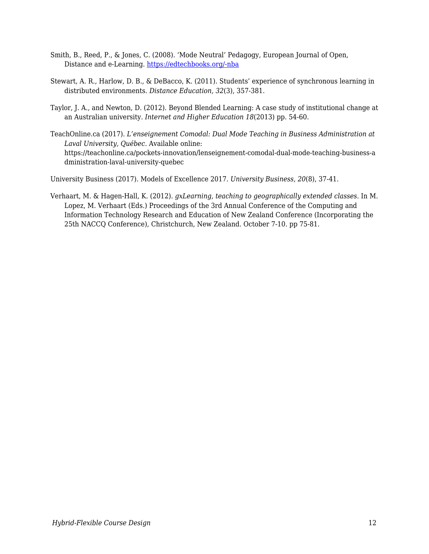- Smith, B., Reed, P., & Jones, C. (2008). 'Mode Neutral' Pedagogy, European Journal of Open, Distance and e-Learning. [https://edtechbooks.org/-nba](http://www.eurodl.org/materials/contrib/2008/Smith_Reed_Jones.htm)
- Stewart, A. R., Harlow, D. B., & DeBacco, K. (2011). Students' experience of synchronous learning in distributed environments. *Distance Education, 32*(3), 357-381.
- Taylor, J. A., and Newton, D. (2012). Beyond Blended Learning: A case study of institutional change at an Australian university. *Internet and Higher Education 18*(2013) pp. 54-60.
- TeachOnline.ca (2017). *L'enseignement Comodal: Dual Mode Teaching in Business Administration at Laval University, Québec*. Available online: https://teachonline.ca/pockets-innovation/lenseignement-comodal-dual-mode-teaching-business-a dministration-laval-university-quebec

University Business (2017). Models of Excellence 2017. *University Business, 20*(8), 37-41.

Verhaart, M. & Hagen-Hall, K. (2012). *gxLearning, teaching to geographically extended classes.* In M. Lopez, M. Verhaart (Eds.) Proceedings of the 3rd Annual Conference of the Computing and Information Technology Research and Education of New Zealand Conference (Incorporating the 25th NACCQ Conference), Christchurch, New Zealand. October 7-10. pp 75-81.